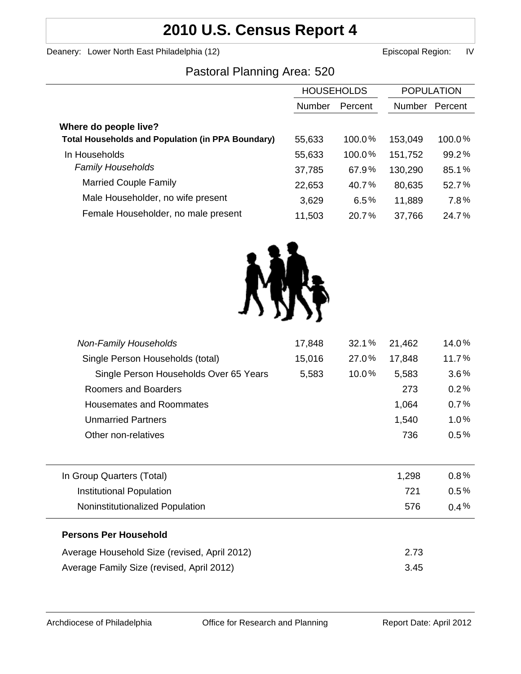# **2010 U.S. Census Report 4**

Deanery: Lower North East Philadelphia (12) Channel Books and Episcopal Region: IV

# Pastoral Planning Area: 520

|                                                          | <b>HOUSEHOLDS</b> |           | <b>POPULATION</b> |         |
|----------------------------------------------------------|-------------------|-----------|-------------------|---------|
|                                                          | <b>Number</b>     | Percent   | Number            | Percent |
| Where do people live?                                    |                   |           |                   |         |
| <b>Total Households and Population (in PPA Boundary)</b> | 55,633            | 100.0%    | 153,049           | 100.0%  |
| In Households                                            | 55,633            | $100.0\%$ | 151,752           | 99.2%   |
| <b>Family Households</b>                                 | 37,785            | 67.9%     | 130,290           | 85.1%   |
| <b>Married Couple Family</b>                             | 22,653            | 40.7%     | 80,635            | 52.7%   |
| Male Householder, no wife present                        | 3,629             | 6.5%      | 11,889            | 7.8%    |
| Female Householder, no male present                      | 11,503            | 20.7%     | 37,766            | 24.7%   |



| Non-Family Households                        | 17,848 | 32.1% | 21,462 | 14.0%   |
|----------------------------------------------|--------|-------|--------|---------|
| Single Person Households (total)             | 15,016 | 27.0% | 17,848 | 11.7%   |
| Single Person Households Over 65 Years       | 5,583  | 10.0% | 5,583  | 3.6%    |
| Roomers and Boarders                         |        |       | 273    | 0.2%    |
| <b>Housemates and Roommates</b>              |        |       | 1,064  | 0.7%    |
| <b>Unmarried Partners</b>                    |        |       | 1,540  | 1.0%    |
| Other non-relatives                          |        |       | 736    | 0.5%    |
|                                              |        |       |        |         |
| In Group Quarters (Total)                    |        |       | 1,298  | $0.8\%$ |
| <b>Institutional Population</b>              |        |       | 721    | $0.5\%$ |
| Noninstitutionalized Population              |        |       | 576    | $0.4\%$ |
| <b>Persons Per Household</b>                 |        |       |        |         |
| Average Household Size (revised, April 2012) |        |       | 2.73   |         |
| Average Family Size (revised, April 2012)    |        |       | 3.45   |         |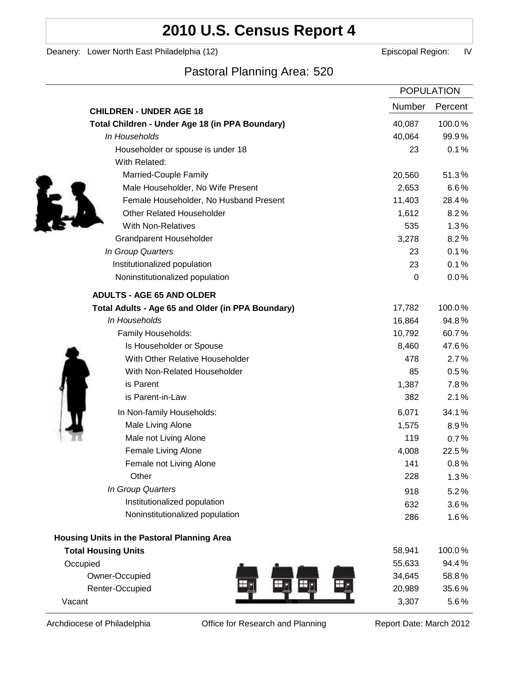# **2010 U.S. Census Report 4**

Deanery: Lower North East Philadelphia (12) Deanery: Lower North East Philadelphia (12)

# Pastoral Planning Area: 520

|                                                   | <b>POPULATION</b> |         |
|---------------------------------------------------|-------------------|---------|
| <b>CHILDREN - UNDER AGE 18</b>                    | Number            | Percent |
| Total Children - Under Age 18 (in PPA Boundary)   | 40,087            | 100.0%  |
| In Households                                     | 40,064            | 99.9%   |
| Householder or spouse is under 18                 | 23                | 0.1%    |
| With Related:                                     |                   |         |
| Married-Couple Family                             | 20,560            | 51.3%   |
| Male Householder, No Wife Present                 | 2,653             | 6.6%    |
| Female Householder, No Husband Present            | 11,403            | 28.4%   |
| <b>Other Related Householder</b>                  | 1,612             | 8.2%    |
| With Non-Relatives                                | 535               | 1.3%    |
| <b>Grandparent Householder</b>                    | 3,278             | 8.2%    |
| In Group Quarters                                 | 23                | 0.1%    |
| Institutionalized population                      | 23                | 0.1%    |
| Noninstitutionalized population                   | 0                 | 0.0%    |
| <b>ADULTS - AGE 65 AND OLDER</b>                  |                   |         |
| Total Adults - Age 65 and Older (in PPA Boundary) | 17,782            | 100.0%  |
| In Households                                     | 16,864            | 94.8%   |
| Family Households:                                | 10,792            | 60.7%   |
| Is Householder or Spouse                          | 8,460             | 47.6%   |
| With Other Relative Householder                   | 478               | 2.7%    |
| With Non-Related Householder                      | 85                | 0.5%    |
| is Parent                                         | 1,387             | 7.8%    |
| is Parent-in-Law                                  | 382               | 2.1%    |
| In Non-family Households:                         | 6,071             | 34.1%   |
| Male Living Alone                                 | 1,575             | $8.9\%$ |
| Male not Living Alone                             | 119               | 0.7%    |
| Female Living Alone                               | 4,008             | 22.5%   |
| Female not Living Alone                           | 141               | 0.8%    |
| Other                                             | 228               | 1.3%    |
| In Group Quarters                                 | 918               | 5.2%    |
| Institutionalized population                      | 632               | 3.6%    |
| Noninstitutionalized population                   | 286               | 1.6%    |
| Housing Units in the Pastoral Planning Area       |                   |         |
| <b>Total Housing Units</b>                        | 58,941            | 100.0%  |
| Occupied                                          | 55,633            | 94.4%   |
| Owner-Occupied                                    | 34,645            | 58.8%   |
| Renter-Occupied                                   | 20,989            | 35.6%   |
| Vacant                                            | 3,307             | 5.6%    |

Archdiocese of Philadelphia **Office for Research and Planning** Report Date: March 2012